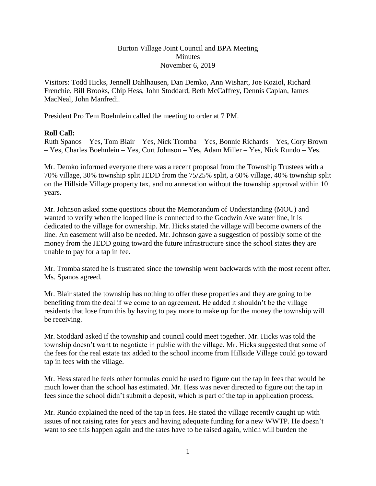## Burton Village Joint Council and BPA Meeting Minutes November 6, 2019

Visitors: Todd Hicks, Jennell Dahlhausen, Dan Demko, Ann Wishart, Joe Koziol, Richard Frenchie, Bill Brooks, Chip Hess, John Stoddard, Beth McCaffrey, Dennis Caplan, James MacNeal, John Manfredi.

President Pro Tem Boehnlein called the meeting to order at 7 PM.

## **Roll Call:**

Ruth Spanos – Yes, Tom Blair – Yes, Nick Tromba – Yes, Bonnie Richards – Yes, Cory Brown – Yes, Charles Boehnlein – Yes, Curt Johnson – Yes, Adam Miller – Yes, Nick Rundo – Yes.

Mr. Demko informed everyone there was a recent proposal from the Township Trustees with a 70% village, 30% township split JEDD from the 75/25% split, a 60% village, 40% township split on the Hillside Village property tax, and no annexation without the township approval within 10 years.

Mr. Johnson asked some questions about the Memorandum of Understanding (MOU) and wanted to verify when the looped line is connected to the Goodwin Ave water line, it is dedicated to the village for ownership. Mr. Hicks stated the village will become owners of the line. An easement will also be needed. Mr. Johnson gave a suggestion of possibly some of the money from the JEDD going toward the future infrastructure since the school states they are unable to pay for a tap in fee.

Mr. Tromba stated he is frustrated since the township went backwards with the most recent offer. Ms. Spanos agreed.

Mr. Blair stated the township has nothing to offer these properties and they are going to be benefiting from the deal if we come to an agreement. He added it shouldn't be the village residents that lose from this by having to pay more to make up for the money the township will be receiving.

Mr. Stoddard asked if the township and council could meet together. Mr. Hicks was told the township doesn't want to negotiate in public with the village. Mr. Hicks suggested that some of the fees for the real estate tax added to the school income from Hillside Village could go toward tap in fees with the village.

Mr. Hess stated he feels other formulas could be used to figure out the tap in fees that would be much lower than the school has estimated. Mr. Hess was never directed to figure out the tap in fees since the school didn't submit a deposit, which is part of the tap in application process.

Mr. Rundo explained the need of the tap in fees. He stated the village recently caught up with issues of not raising rates for years and having adequate funding for a new WWTP. He doesn't want to see this happen again and the rates have to be raised again, which will burden the